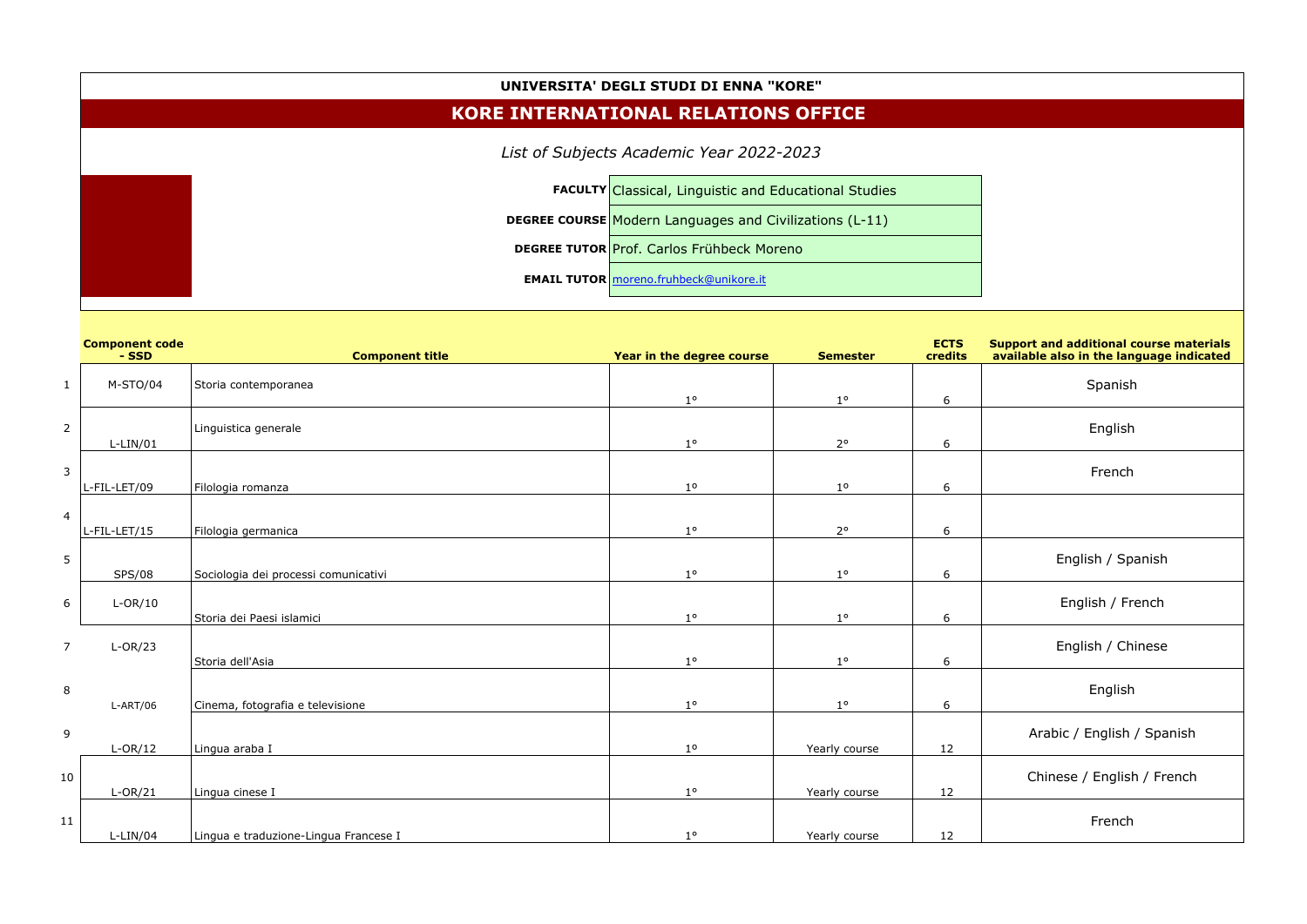## **UNIVERSITA' DEGLI STUDI DI ENNA "KORE"**

## **KORE INTERNATIONAL RELATIONS OFFICE**

*List of Subjects Academic Year 2022-2023*

| <b>FACULTY Classical, Linguistic and Educational Studies</b>   |  |  |  |  |  |
|----------------------------------------------------------------|--|--|--|--|--|
| <b>DEGREE COURSE Modern Languages and Civilizations (L-11)</b> |  |  |  |  |  |
| <b>DEGREE TUTOR Prof. Carlos Frühbeck Moreno</b>               |  |  |  |  |  |
| <b>EMAIL TUTOR</b>   moreno.fruhbeck@unikore.it                |  |  |  |  |  |

|                | <b>Component code</b><br>- SSD | <b>Component title</b>                | Year in the degree course | <b>Semester</b> | <b>ECTS</b><br>credits |
|----------------|--------------------------------|---------------------------------------|---------------------------|-----------------|------------------------|
| $\mathbf{1}$   | M-STO/04                       | Storia contemporanea                  | $1^{\circ}$               | $1^{\circ}$     | 6                      |
| $\overline{2}$ | $L-LIN/01$                     | Linguistica generale                  | $1^{\circ}$               | $2^{\circ}$     | 6                      |
| $\mathsf{3}$   | L-FIL-LET/09                   | Filologia romanza                     | 1 <sup>o</sup>            | 1 <sup>o</sup>  | 6                      |
| $\overline{4}$ | L-FIL-LET/15                   | Filologia germanica                   | $1^{\circ}$               | $2^{\circ}$     | 6                      |
| 5              | <b>SPS/08</b>                  | Sociologia dei processi comunicativi  | $1^{\circ}$               | $1^{\circ}$     | 6                      |
| 6              | $L-OR/10$                      | Storia dei Paesi islamici             | $1^{\circ}$               | $1^{\circ}$     | 6                      |
| $\overline{7}$ | $L-OR/23$                      | Storia dell'Asia                      | $1^{\circ}$               | $1^{\circ}$     | 6                      |
| $\, 8$         | $L-ART/06$                     | Cinema, fotografia e televisione      | $1^{\circ}$               | $1^{\circ}$     | 6                      |
| 9              | $L-OR/12$                      | Lingua araba I                        | 1 <sup>o</sup>            | Yearly course   | 12                     |
| 10             | $L-OR/21$                      | Lingua cinese I                       | $1^{\circ}$               | Yearly course   | 12                     |
| $11\,$         | $L-LIN/04$                     | Lingua e traduzione-Lingua Francese I | $1^{\circ}$               | Yearly course   | 12                     |

| <b>Support and additional course materials</b><br>available also in the language indicated |
|--------------------------------------------------------------------------------------------|
| Spanish                                                                                    |
| English                                                                                    |
| French                                                                                     |
|                                                                                            |
| English / Spanish                                                                          |
| English / French                                                                           |
| English / Chinese                                                                          |
|                                                                                            |
| English                                                                                    |
| Arabic / English / Spanish                                                                 |
| Chinese / English / French                                                                 |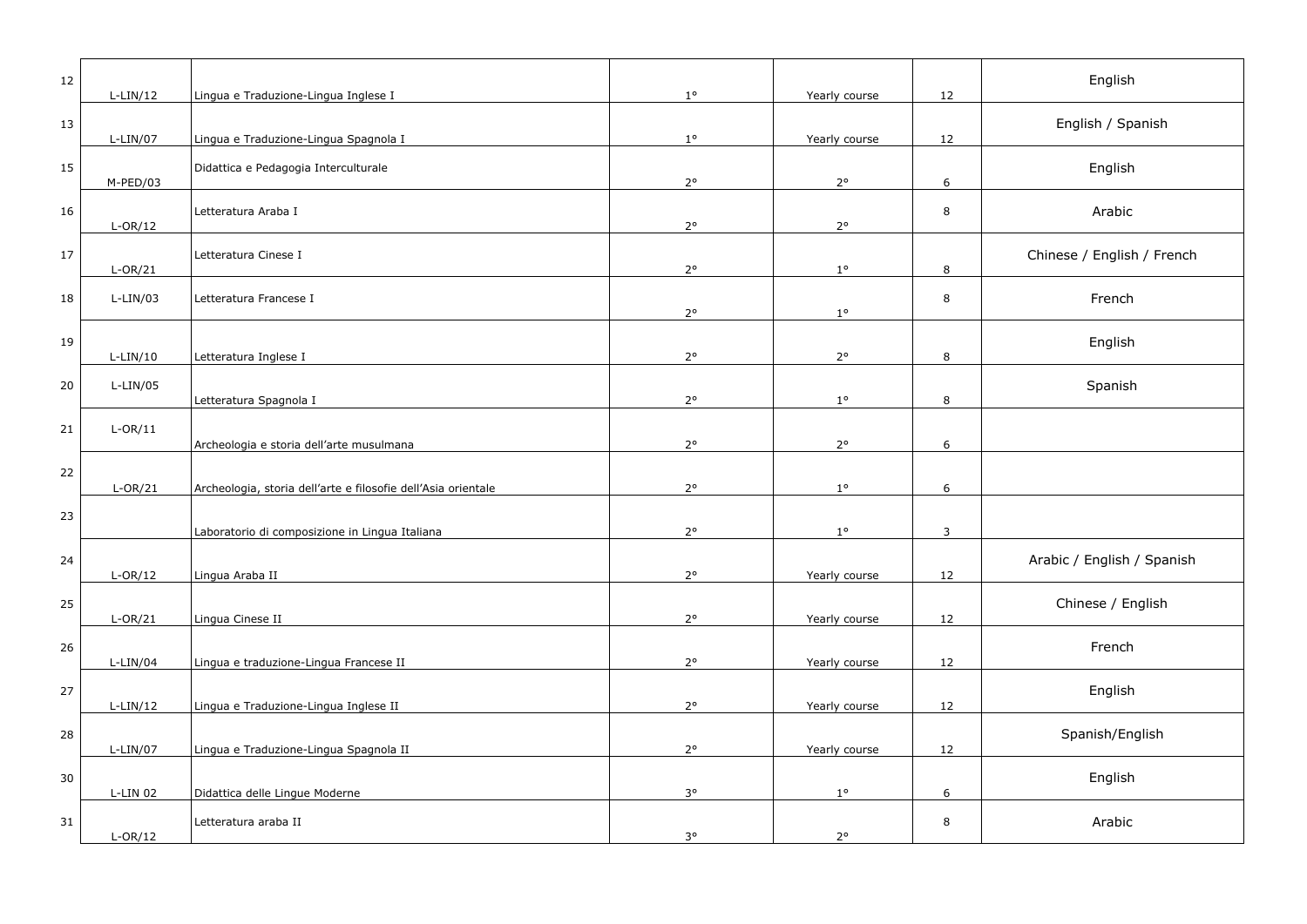| 12 | $L-LIN/12$ | Lingua e Traduzione-Lingua Inglese I                          | $1^{\circ}$ | Yearly course | 12 | English                    |
|----|------------|---------------------------------------------------------------|-------------|---------------|----|----------------------------|
| 13 | $L-LIN/07$ | Lingua e Traduzione-Lingua Spagnola I                         | $1^{\circ}$ | Yearly course | 12 | English / Spanish          |
| 15 | M-PED/03   | Didattica e Pedagogia Interculturale                          | $2^{\circ}$ | $2^{\circ}$   | 6  | English                    |
| 16 | $L-OR/12$  | Letteratura Araba I                                           | $2^{\circ}$ | $2^{\circ}$   | 8  | Arabic                     |
| 17 | $L-OR/21$  | Letteratura Cinese I                                          | $2^{\circ}$ | $1^{\circ}$   | 8  | Chinese / English / French |
| 18 | $L-LIN/03$ | Letteratura Francese I                                        | $2^{\circ}$ | $1^{\circ}$   | 8  | French                     |
| 19 | $L-LIN/10$ | Letteratura Inglese I                                         | $2^{\circ}$ | $2^{\circ}$   | 8  | English                    |
| 20 | $L-LIN/05$ | Letteratura Spagnola I                                        | $2^{\circ}$ | $1^{\circ}$   | 8  | Spanish                    |
| 21 | $L-OR/11$  | Archeologia e storia dell'arte musulmana                      | $2^{\circ}$ | $2^{\circ}$   | 6  |                            |
| 22 | $L-OR/21$  | Archeologia, storia dell'arte e filosofie dell'Asia orientale | $2^{\circ}$ | $1^{\circ}$   | 6  |                            |
| 23 |            | Laboratorio di composizione in Lingua Italiana                | $2^{\circ}$ | $1^{\circ}$   | 3  |                            |
| 24 | $L-OR/12$  | Lingua Araba II                                               | $2^{\circ}$ | Yearly course | 12 | Arabic / English / Spanish |
| 25 | $L-OR/21$  | Lingua Cinese II                                              | $2^{\circ}$ | Yearly course | 12 | Chinese / English          |
| 26 | $L-LIN/04$ | Lingua e traduzione-Lingua Francese II                        | $2^{\circ}$ | Yearly course | 12 | French                     |
| 27 | $L-LIN/12$ | Lingua e Traduzione-Lingua Inglese II                         | $2^{\circ}$ | Yearly course | 12 | English                    |
| 28 | L-LIN/07   | Lingua e Traduzione-Lingua Spagnola II                        | $2^{\circ}$ | Yearly course | 12 | Spanish/English            |
| 30 | L-LIN 02   | Didattica delle Lingue Moderne                                | $3^{\circ}$ | $1^{\circ}$   | 6  | English                    |
| 31 | $L-OR/12$  | Letteratura araba II                                          | $3^{\circ}$ | $2^{\circ}$   | 8  | Arabic                     |
|    |            |                                                               |             |               |    |                            |